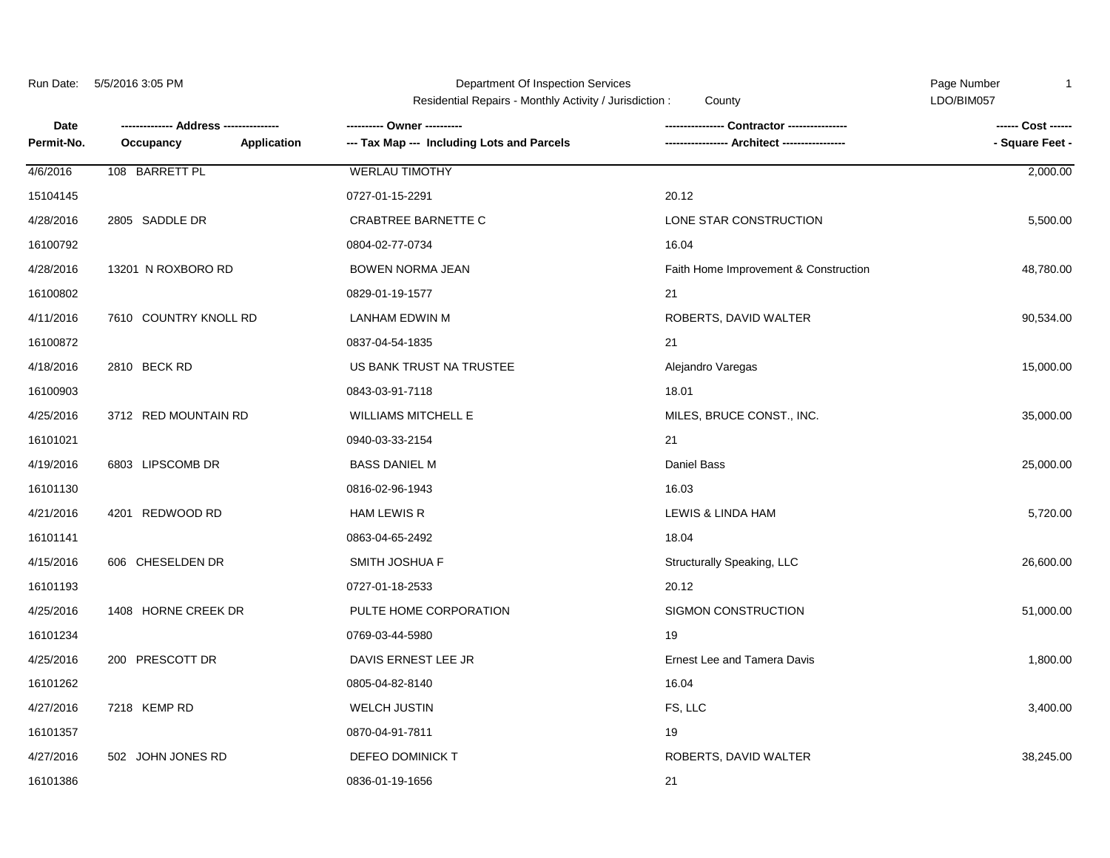| Run Date:   | 5/5/2016 3:05 PM<br>-------------- Address --------------- |             | Department Of Inspection Services<br>Residential Repairs - Monthly Activity / Jurisdiction:<br>County |                                       | Page Number<br>$\mathbf{1}$<br>LDO/BIM057 |
|-------------|------------------------------------------------------------|-------------|-------------------------------------------------------------------------------------------------------|---------------------------------------|-------------------------------------------|
| <b>Date</b> |                                                            |             | ---------- Owner ----------                                                                           |                                       | ------ Cost ------                        |
| Permit-No.  | Occupancy                                                  | Application | --- Tax Map --- Including Lots and Parcels                                                            |                                       | - Square Feet -                           |
| 4/6/2016    | 108 BARRETT PL                                             |             | <b>WERLAU TIMOTHY</b>                                                                                 |                                       | 2,000.00                                  |
| 15104145    |                                                            |             | 0727-01-15-2291                                                                                       | 20.12                                 |                                           |
| 4/28/2016   | 2805 SADDLE DR                                             |             | CRABTREE BARNETTE C                                                                                   | LONE STAR CONSTRUCTION                | 5,500.00                                  |
| 16100792    |                                                            |             | 0804-02-77-0734                                                                                       | 16.04                                 |                                           |
| 4/28/2016   | 13201 N ROXBORO RD                                         |             | <b>BOWEN NORMA JEAN</b>                                                                               | Faith Home Improvement & Construction | 48,780.00                                 |
| 16100802    |                                                            |             | 0829-01-19-1577                                                                                       | 21                                    |                                           |
| 4/11/2016   | 7610 COUNTRY KNOLL RD                                      |             | <b>LANHAM EDWIN M</b>                                                                                 | ROBERTS, DAVID WALTER                 | 90,534.00                                 |
| 16100872    |                                                            |             | 0837-04-54-1835                                                                                       | 21                                    |                                           |
| 4/18/2016   | 2810 BECK RD                                               |             | US BANK TRUST NA TRUSTEE                                                                              | Alejandro Varegas                     | 15,000.00                                 |
| 16100903    |                                                            |             | 0843-03-91-7118                                                                                       | 18.01                                 |                                           |
| 4/25/2016   | 3712 RED MOUNTAIN RD                                       |             | <b>WILLIAMS MITCHELL E</b>                                                                            | MILES, BRUCE CONST., INC.             | 35,000.00                                 |
| 16101021    |                                                            |             | 0940-03-33-2154                                                                                       | 21                                    |                                           |
| 4/19/2016   | 6803 LIPSCOMB DR                                           |             | <b>BASS DANIEL M</b>                                                                                  | <b>Daniel Bass</b>                    | 25,000.00                                 |
| 16101130    |                                                            |             | 0816-02-96-1943                                                                                       | 16.03                                 |                                           |
| 4/21/2016   | 4201 REDWOOD RD                                            |             | <b>HAM LEWIS R</b>                                                                                    | LEWIS & LINDA HAM                     | 5,720.00                                  |
| 16101141    |                                                            |             | 0863-04-65-2492                                                                                       | 18.04                                 |                                           |
| 4/15/2016   | 606 CHESELDEN DR                                           |             | <b>SMITH JOSHUA F</b>                                                                                 | Structurally Speaking, LLC            | 26,600.00                                 |
| 16101193    |                                                            |             | 0727-01-18-2533                                                                                       | 20.12                                 |                                           |
| 4/25/2016   | 1408 HORNE CREEK DR                                        |             | PULTE HOME CORPORATION                                                                                | SIGMON CONSTRUCTION                   | 51,000.00                                 |
| 16101234    |                                                            |             | 0769-03-44-5980                                                                                       | 19                                    |                                           |
| 4/25/2016   | 200 PRESCOTT DR                                            |             | DAVIS ERNEST LEE JR                                                                                   | <b>Ernest Lee and Tamera Davis</b>    | 1,800.00                                  |
| 16101262    |                                                            |             | 0805-04-82-8140                                                                                       | 16.04                                 |                                           |
| 4/27/2016   | 7218 KEMP RD                                               |             | <b>WELCH JUSTIN</b>                                                                                   | FS, LLC                               | 3,400.00                                  |
| 16101357    |                                                            |             | 0870-04-91-7811                                                                                       | 19                                    |                                           |
| 4/27/2016   | 502 JOHN JONES RD                                          |             | DEFEO DOMINICK T                                                                                      | ROBERTS, DAVID WALTER                 | 38,245.00                                 |
| 16101386    |                                                            |             | 0836-01-19-1656                                                                                       | 21                                    |                                           |